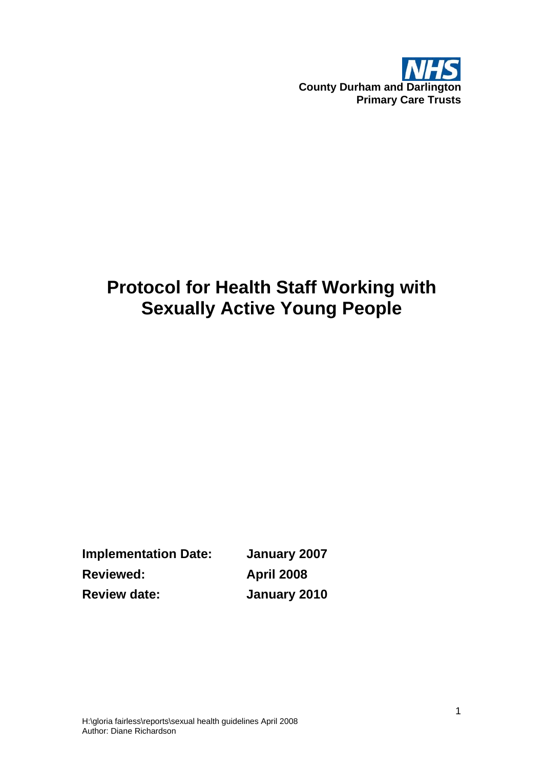

# **Protocol for Health Staff Working with Sexually Active Young People**

**Implementation Date: January 2007 Reviewed: April 2008 Review date: January 2010**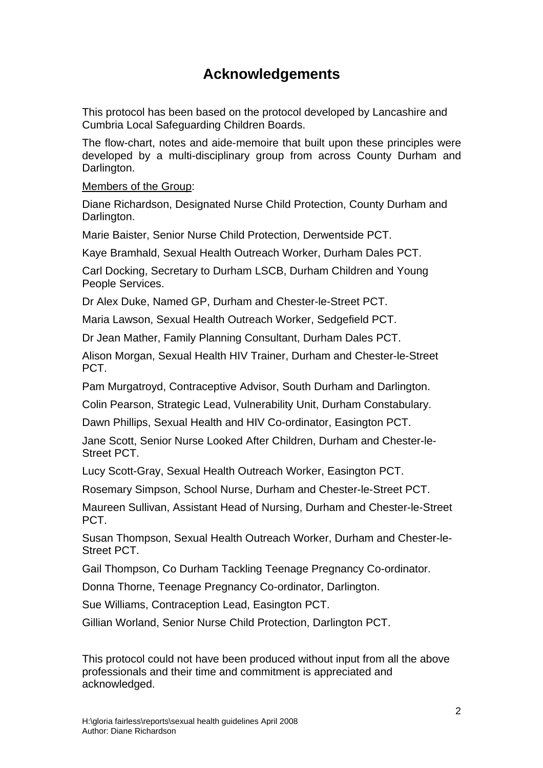### **Acknowledgements**

This protocol has been based on the protocol developed by Lancashire and Cumbria Local Safeguarding Children Boards.

The flow-chart, notes and aide-memoire that built upon these principles were developed by a multi-disciplinary group from across County Durham and Darlington.

Members of the Group:

Diane Richardson, Designated Nurse Child Protection, County Durham and Darlington.

Marie Baister, Senior Nurse Child Protection, Derwentside PCT.

Kaye Bramhald, Sexual Health Outreach Worker, Durham Dales PCT.

Carl Docking, Secretary to Durham LSCB, Durham Children and Young People Services.

Dr Alex Duke, Named GP, Durham and Chester-le-Street PCT.

Maria Lawson, Sexual Health Outreach Worker, Sedgefield PCT.

Dr Jean Mather, Family Planning Consultant, Durham Dales PCT.

Alison Morgan, Sexual Health HIV Trainer, Durham and Chester-le-Street PCT.

Pam Murgatroyd, Contraceptive Advisor, South Durham and Darlington.

Colin Pearson, Strategic Lead, Vulnerability Unit, Durham Constabulary.

Dawn Phillips, Sexual Health and HIV Co-ordinator, Easington PCT.

Jane Scott, Senior Nurse Looked After Children, Durham and Chester-le-Street PCT.

Lucy Scott-Gray, Sexual Health Outreach Worker, Easington PCT.

Rosemary Simpson, School Nurse, Durham and Chester-le-Street PCT.

Maureen Sullivan, Assistant Head of Nursing, Durham and Chester-le-Street PCT.

Susan Thompson, Sexual Health Outreach Worker, Durham and Chester-le-Street PCT.

Gail Thompson, Co Durham Tackling Teenage Pregnancy Co-ordinator.

Donna Thorne, Teenage Pregnancy Co-ordinator, Darlington.

Sue Williams, Contraception Lead, Easington PCT.

Gillian Worland, Senior Nurse Child Protection, Darlington PCT.

This protocol could not have been produced without input from all the above professionals and their time and commitment is appreciated and acknowledged.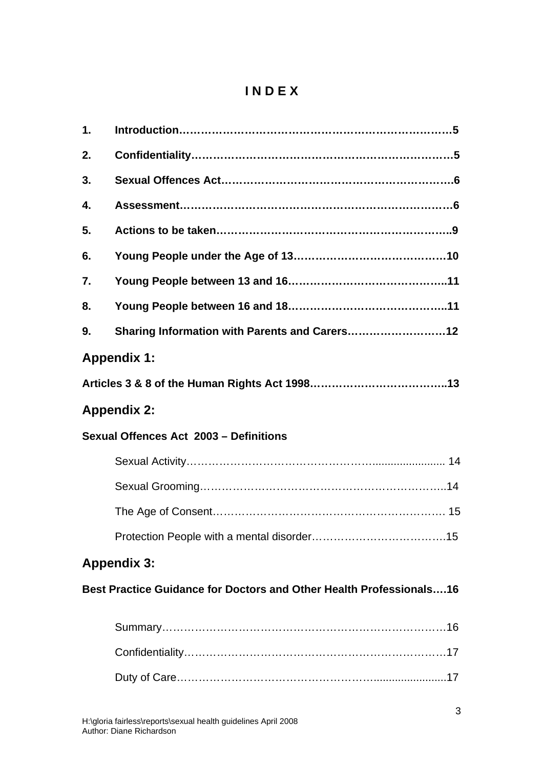### **I N D E X**

| 1.                                                                         |                                               |  |
|----------------------------------------------------------------------------|-----------------------------------------------|--|
| 2.                                                                         |                                               |  |
| 3.                                                                         |                                               |  |
| 4.                                                                         |                                               |  |
| 5.                                                                         |                                               |  |
| 6.                                                                         |                                               |  |
| 7.                                                                         |                                               |  |
| 8.                                                                         |                                               |  |
| 9.                                                                         | Sharing Information with Parents and Carers12 |  |
| <b>Appendix 1:</b>                                                         |                                               |  |
|                                                                            |                                               |  |
| <b>Appendix 2:</b>                                                         |                                               |  |
| Sexual Offences Act 2003 - Definitions                                     |                                               |  |
|                                                                            |                                               |  |
|                                                                            |                                               |  |
|                                                                            |                                               |  |
|                                                                            |                                               |  |
| <b>Appendix 3:</b>                                                         |                                               |  |
| <b>Best Practice Guidance for Doctors and Other Health Professionals16</b> |                                               |  |
|                                                                            |                                               |  |
|                                                                            |                                               |  |
|                                                                            |                                               |  |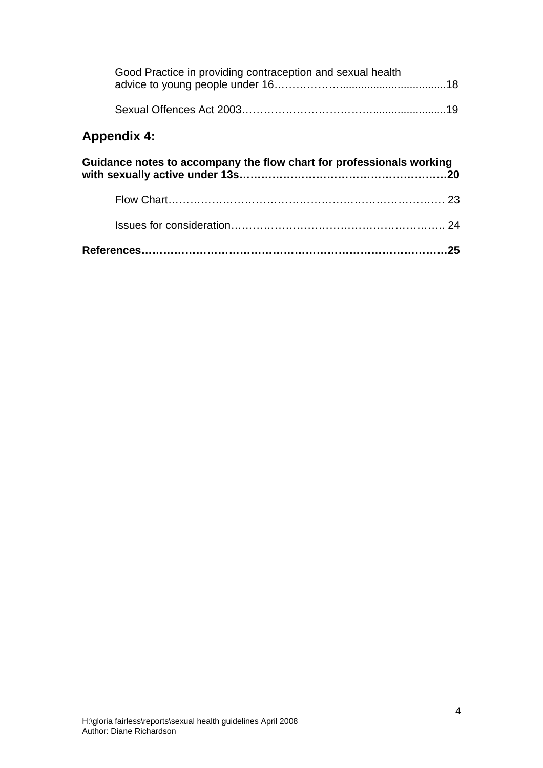| Good Practice in providing contraception and sexual health           |  |  |
|----------------------------------------------------------------------|--|--|
|                                                                      |  |  |
| <b>Appendix 4:</b>                                                   |  |  |
| Guidance notes to accompany the flow chart for professionals working |  |  |
|                                                                      |  |  |
|                                                                      |  |  |
| 25                                                                   |  |  |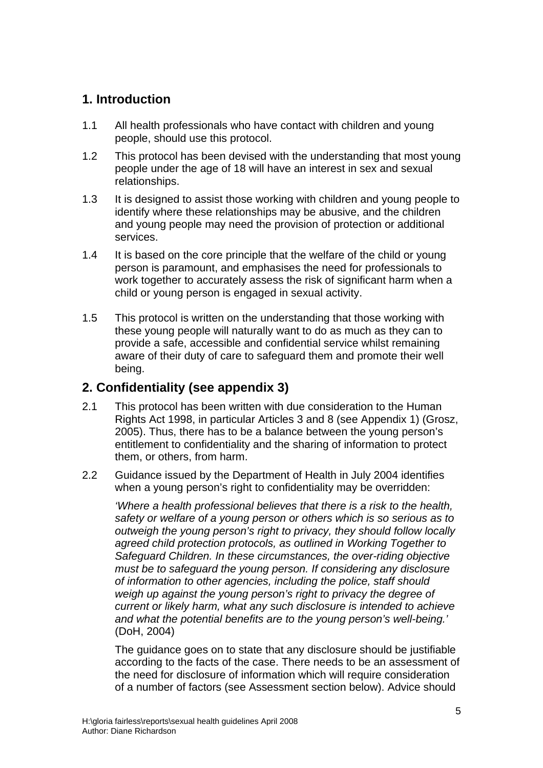#### **1. Introduction**

- 1.1 All health professionals who have contact with children and young people, should use this protocol.
- 1.2 This protocol has been devised with the understanding that most young people under the age of 18 will have an interest in sex and sexual relationships.
- 1.3 It is designed to assist those working with children and young people to identify where these relationships may be abusive, and the children and young people may need the provision of protection or additional services.
- 1.4 It is based on the core principle that the welfare of the child or young person is paramount, and emphasises the need for professionals to work together to accurately assess the risk of significant harm when a child or young person is engaged in sexual activity.
- 1.5 This protocol is written on the understanding that those working with these young people will naturally want to do as much as they can to provide a safe, accessible and confidential service whilst remaining aware of their duty of care to safeguard them and promote their well being.

#### **2. Confidentiality (see appendix 3)**

- 2.1 This protocol has been written with due consideration to the Human Rights Act 1998, in particular Articles 3 and 8 (see Appendix 1) (Grosz, 2005). Thus, there has to be a balance between the young person's entitlement to confidentiality and the sharing of information to protect them, or others, from harm.
- 2.2 Guidance issued by the Department of Health in July 2004 identifies when a young person's right to confidentiality may be overridden:

*'Where a health professional believes that there is a risk to the health, safety or welfare of a young person or others which is so serious as to outweigh the young person's right to privacy, they should follow locally agreed child protection protocols, as outlined in Working Together to Safeguard Children. In these circumstances, the over-riding objective must be to safeguard the young person. If considering any disclosure of information to other agencies, including the police, staff should weigh up against the young person's right to privacy the degree of current or likely harm, what any such disclosure is intended to achieve and what the potential benefits are to the young person's well-being.'* (DoH, 2004)

The guidance goes on to state that any disclosure should be justifiable according to the facts of the case. There needs to be an assessment of the need for disclosure of information which will require consideration of a number of factors (see Assessment section below). Advice should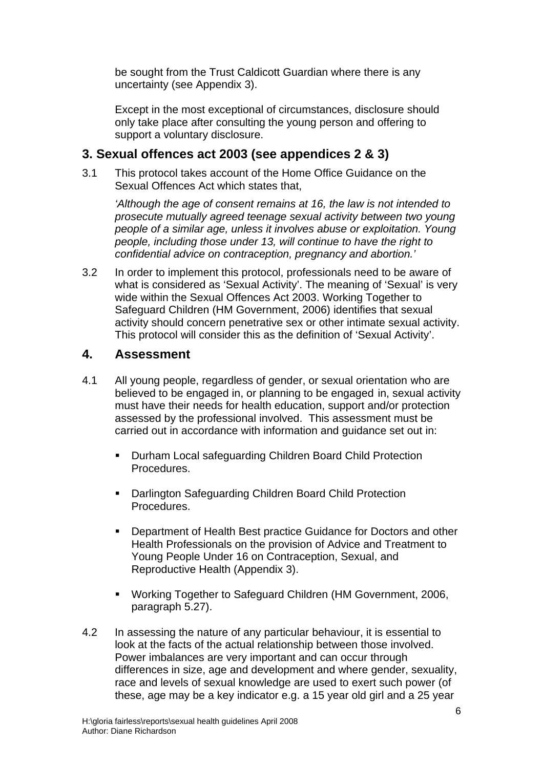be sought from the Trust Caldicott Guardian where there is any uncertainty (see Appendix 3).

Except in the most exceptional of circumstances, disclosure should only take place after consulting the young person and offering to support a voluntary disclosure.

#### **3. Sexual offences act 2003 (see appendices 2 & 3)**

3.1 This protocol takes account of the Home Office Guidance on the Sexual Offences Act which states that,

*'Although the age of consent remains at 16, the law is not intended to prosecute mutually agreed teenage sexual activity between two young people of a similar age, unless it involves abuse or exploitation. Young people, including those under 13, will continue to have the right to confidential advice on contraception, pregnancy and abortion.'* 

3.2 In order to implement this protocol, professionals need to be aware of what is considered as 'Sexual Activity'. The meaning of 'Sexual' is very wide within the Sexual Offences Act 2003. Working Together to Safeguard Children (HM Government, 2006) identifies that sexual activity should concern penetrative sex or other intimate sexual activity. This protocol will consider this as the definition of 'Sexual Activity'.

#### **4. Assessment**

- 4.1 All young people, regardless of gender, or sexual orientation who are believed to be engaged in, or planning to be engaged in, sexual activity must have their needs for health education, support and/or protection assessed by the professional involved. This assessment must be carried out in accordance with information and guidance set out in:
	- **Durham Local safeguarding Children Board Child Protection** Procedures.
	- Darlington Safeguarding Children Board Child Protection Procedures.
	- Department of Health Best practice Guidance for Doctors and other Health Professionals on the provision of Advice and Treatment to Young People Under 16 on Contraception, Sexual, and Reproductive Health (Appendix 3).
	- Working Together to Safeguard Children (HM Government, 2006, paragraph 5.27).
- 4.2 In assessing the nature of any particular behaviour, it is essential to look at the facts of the actual relationship between those involved. Power imbalances are very important and can occur through differences in size, age and development and where gender, sexuality, race and levels of sexual knowledge are used to exert such power (of these, age may be a key indicator e.g. a 15 year old girl and a 25 year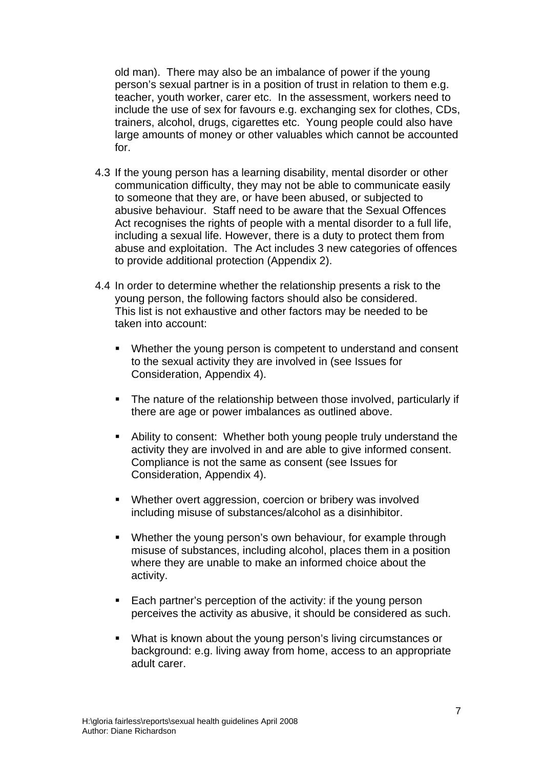old man). There may also be an imbalance of power if the young person's sexual partner is in a position of trust in relation to them e.g. teacher, youth worker, carer etc. In the assessment, workers need to include the use of sex for favours e.g. exchanging sex for clothes, CDs, trainers, alcohol, drugs, cigarettes etc. Young people could also have large amounts of money or other valuables which cannot be accounted for.

- 4.3 If the young person has a learning disability, mental disorder or other communication difficulty, they may not be able to communicate easily to someone that they are, or have been abused, or subjected to abusive behaviour. Staff need to be aware that the Sexual Offences Act recognises the rights of people with a mental disorder to a full life, including a sexual life. However, there is a duty to protect them from abuse and exploitation. The Act includes 3 new categories of offences to provide additional protection (Appendix 2).
- 4.4 In order to determine whether the relationship presents a risk to the young person, the following factors should also be considered. This list is not exhaustive and other factors may be needed to be taken into account:
	- Whether the young person is competent to understand and consent to the sexual activity they are involved in (see Issues for Consideration, Appendix 4).
	- The nature of the relationship between those involved, particularly if there are age or power imbalances as outlined above.
	- Ability to consent: Whether both young people truly understand the activity they are involved in and are able to give informed consent. Compliance is not the same as consent (see Issues for Consideration, Appendix 4).
	- Whether overt aggression, coercion or bribery was involved including misuse of substances/alcohol as a disinhibitor.
	- **Whether the young person's own behaviour, for example through** misuse of substances, including alcohol, places them in a position where they are unable to make an informed choice about the activity.
	- Each partner's perception of the activity: if the young person perceives the activity as abusive, it should be considered as such.
	- What is known about the young person's living circumstances or background: e.g. living away from home, access to an appropriate adult carer.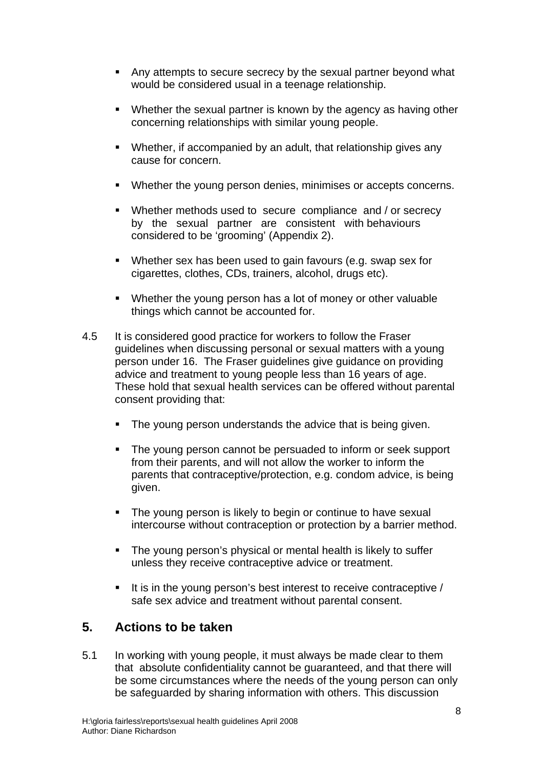- Any attempts to secure secrecy by the sexual partner beyond what would be considered usual in a teenage relationship.
- Whether the sexual partner is known by the agency as having other concerning relationships with similar young people.
- Whether, if accompanied by an adult, that relationship gives any cause for concern.
- Whether the young person denies, minimises or accepts concerns.
- Whether methods used to secure compliance and / or secrecy by the sexual partner are consistent with behaviours considered to be 'grooming' (Appendix 2).
- Whether sex has been used to gain favours (e.g. swap sex for cigarettes, clothes, CDs, trainers, alcohol, drugs etc).
- Whether the young person has a lot of money or other valuable things which cannot be accounted for.
- 4.5 It is considered good practice for workers to follow the Fraser guidelines when discussing personal or sexual matters with a young person under 16. The Fraser guidelines give guidance on providing advice and treatment to young people less than 16 years of age. These hold that sexual health services can be offered without parental consent providing that:
	- **The young person understands the advice that is being given.**
	- The young person cannot be persuaded to inform or seek support from their parents, and will not allow the worker to inform the parents that contraceptive/protection, e.g. condom advice, is being given.
	- The young person is likely to begin or continue to have sexual intercourse without contraception or protection by a barrier method.
	- **The young person's physical or mental health is likely to suffer** unless they receive contraceptive advice or treatment.
	- It is in the young person's best interest to receive contraceptive  $/$ safe sex advice and treatment without parental consent.

#### **5. Actions to be taken**

5.1 In working with young people, it must always be made clear to them that absolute confidentiality cannot be guaranteed, and that there will be some circumstances where the needs of the young person can only be safeguarded by sharing information with others. This discussion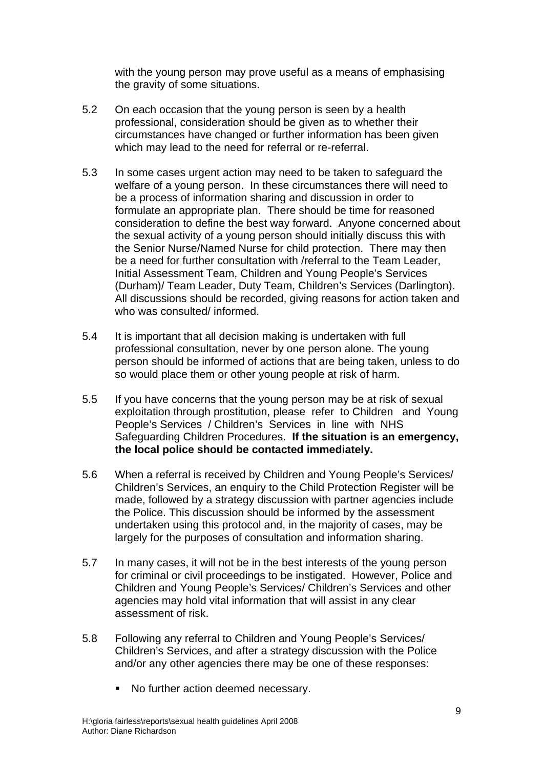with the young person may prove useful as a means of emphasising the gravity of some situations.

- 5.2 On each occasion that the young person is seen by a health professional, consideration should be given as to whether their circumstances have changed or further information has been given which may lead to the need for referral or re-referral.
- 5.3 In some cases urgent action may need to be taken to safeguard the welfare of a young person. In these circumstances there will need to be a process of information sharing and discussion in order to formulate an appropriate plan. There should be time for reasoned consideration to define the best way forward. Anyone concerned about the sexual activity of a young person should initially discuss this with the Senior Nurse/Named Nurse for child protection. There may then be a need for further consultation with /referral to the Team Leader, Initial Assessment Team, Children and Young People's Services (Durham)/ Team Leader, Duty Team, Children's Services (Darlington). All discussions should be recorded, giving reasons for action taken and who was consulted/ informed.
- 5.4 It is important that all decision making is undertaken with full professional consultation, never by one person alone. The young person should be informed of actions that are being taken, unless to do so would place them or other young people at risk of harm.
- 5.5 If you have concerns that the young person may be at risk of sexual exploitation through prostitution, please refer to Children and Young People's Services / Children's Services in line with NHS Safeguarding Children Procedures. **If the situation is an emergency, the local police should be contacted immediately.**
- 5.6 When a referral is received by Children and Young People's Services/ Children's Services, an enquiry to the Child Protection Register will be made, followed by a strategy discussion with partner agencies include the Police. This discussion should be informed by the assessment undertaken using this protocol and, in the majority of cases, may be largely for the purposes of consultation and information sharing.
- 5.7 In many cases, it will not be in the best interests of the young person for criminal or civil proceedings to be instigated. However, Police and Children and Young People's Services/ Children's Services and other agencies may hold vital information that will assist in any clear assessment of risk.
- 5.8 Following any referral to Children and Young People's Services/ Children's Services, and after a strategy discussion with the Police and/or any other agencies there may be one of these responses:
	- No further action deemed necessary.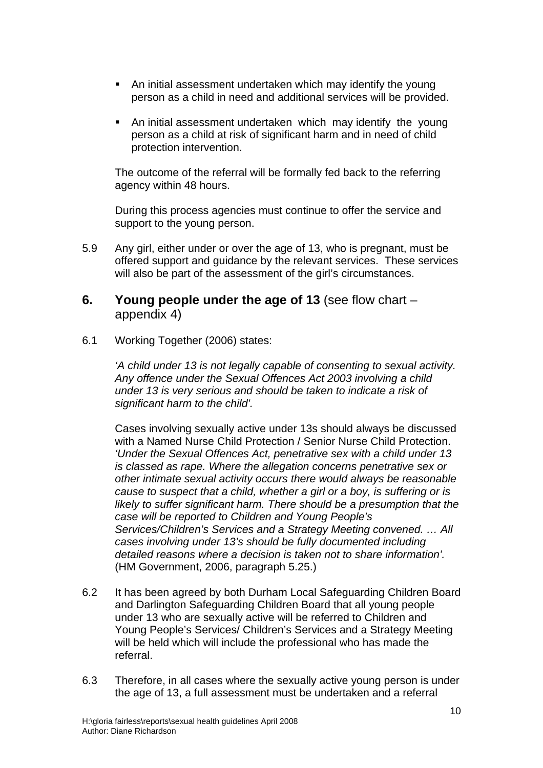- An initial assessment undertaken which may identify the young person as a child in need and additional services will be provided.
- An initial assessment undertaken which may identify the young person as a child at risk of significant harm and in need of child protection intervention.

The outcome of the referral will be formally fed back to the referring agency within 48 hours.

During this process agencies must continue to offer the service and support to the young person.

- 5.9 Any girl, either under or over the age of 13, who is pregnant, must be offered support and guidance by the relevant services. These services will also be part of the assessment of the girl's circumstances.
- **6. Young people under the age of 13** (see flow chart appendix 4)
- 6.1 Working Together (2006) states:

*'A child under 13 is not legally capable of consenting to sexual activity. Any offence under the Sexual Offences Act 2003 involving a child under 13 is very serious and should be taken to indicate a risk of significant harm to the child'.* 

Cases involving sexually active under 13s should always be discussed with a Named Nurse Child Protection / Senior Nurse Child Protection. *'Under the Sexual Offences Act, penetrative sex with a child under 13 is classed as rape. Where the allegation concerns penetrative sex or other intimate sexual activity occurs there would always be reasonable cause to suspect that a child, whether a girl or a boy, is suffering or is likely to suffer significant harm. There should be a presumption that the case will be reported to Children and Young People's Services/Children's Services and a Strategy Meeting convened. … All cases involving under 13's should be fully documented including detailed reasons where a decision is taken not to share information'.*  (HM Government, 2006, paragraph 5.25.)

- 6.2 It has been agreed by both Durham Local Safeguarding Children Board and Darlington Safeguarding Children Board that all young people under 13 who are sexually active will be referred to Children and Young People's Services/ Children's Services and a Strategy Meeting will be held which will include the professional who has made the referral.
- 6.3 Therefore, in all cases where the sexually active young person is under the age of 13, a full assessment must be undertaken and a referral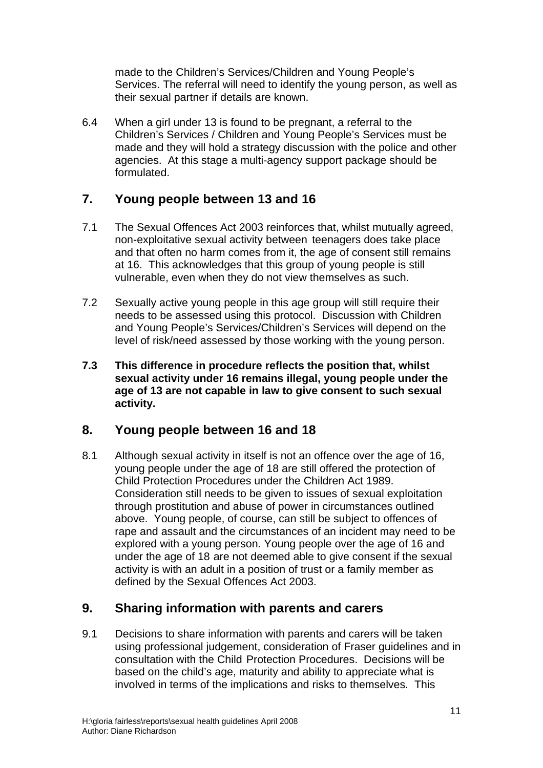made to the Children's Services/Children and Young People's Services. The referral will need to identify the young person, as well as their sexual partner if details are known.

6.4 When a girl under 13 is found to be pregnant, a referral to the Children's Services / Children and Young People's Services must be made and they will hold a strategy discussion with the police and other agencies. At this stage a multi-agency support package should be formulated.

#### **7. Young people between 13 and 16**

- 7.1 The Sexual Offences Act 2003 reinforces that, whilst mutually agreed, non-exploitative sexual activity between teenagers does take place and that often no harm comes from it, the age of consent still remains at 16. This acknowledges that this group of young people is still vulnerable, even when they do not view themselves as such.
- 7.2 Sexually active young people in this age group will still require their needs to be assessed using this protocol. Discussion with Children and Young People's Services/Children's Services will depend on the level of risk/need assessed by those working with the young person.
- **7.3 This difference in procedure reflects the position that, whilst sexual activity under 16 remains illegal, young people under the age of 13 are not capable in law to give consent to such sexual activity.**

#### **8. Young people between 16 and 18**

8.1 Although sexual activity in itself is not an offence over the age of 16, young people under the age of 18 are still offered the protection of Child Protection Procedures under the Children Act 1989. Consideration still needs to be given to issues of sexual exploitation through prostitution and abuse of power in circumstances outlined above. Young people, of course, can still be subject to offences of rape and assault and the circumstances of an incident may need to be explored with a young person. Young people over the age of 16 and under the age of 18 are not deemed able to give consent if the sexual activity is with an adult in a position of trust or a family member as defined by the Sexual Offences Act 2003.

#### **9. Sharing information with parents and carers**

9.1 Decisions to share information with parents and carers will be taken using professional judgement, consideration of Fraser guidelines and in consultation with the Child Protection Procedures. Decisions will be based on the child's age, maturity and ability to appreciate what is involved in terms of the implications and risks to themselves. This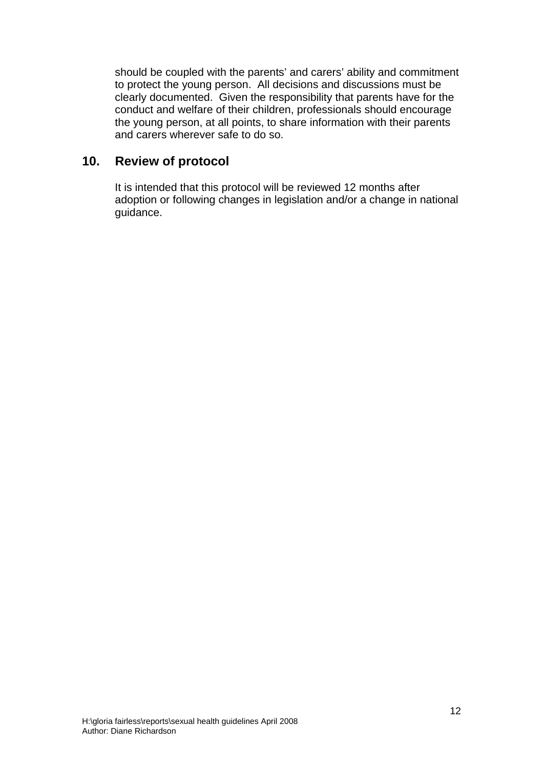should be coupled with the parents' and carers' ability and commitment to protect the young person. All decisions and discussions must be clearly documented. Given the responsibility that parents have for the conduct and welfare of their children, professionals should encourage the young person, at all points, to share information with their parents and carers wherever safe to do so.

#### **10. Review of protocol**

It is intended that this protocol will be reviewed 12 months after adoption or following changes in legislation and/or a change in national guidance.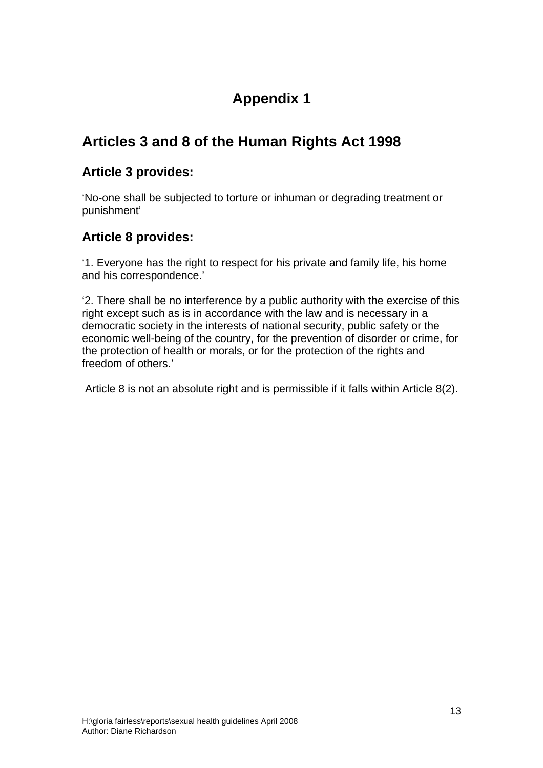## **Appendix 1**

### **Articles 3 and 8 of the Human Rights Act 1998**

#### **Article 3 provides:**

'No-one shall be subjected to torture or inhuman or degrading treatment or punishment'

#### **Article 8 provides:**

'1. Everyone has the right to respect for his private and family life, his home and his correspondence.'

'2. There shall be no interference by a public authority with the exercise of this right except such as is in accordance with the law and is necessary in a democratic society in the interests of national security, public safety or the economic well-being of the country, for the prevention of disorder or crime, for the protection of health or morals, or for the protection of the rights and freedom of others.'

Article 8 is not an absolute right and is permissible if it falls within Article 8(2).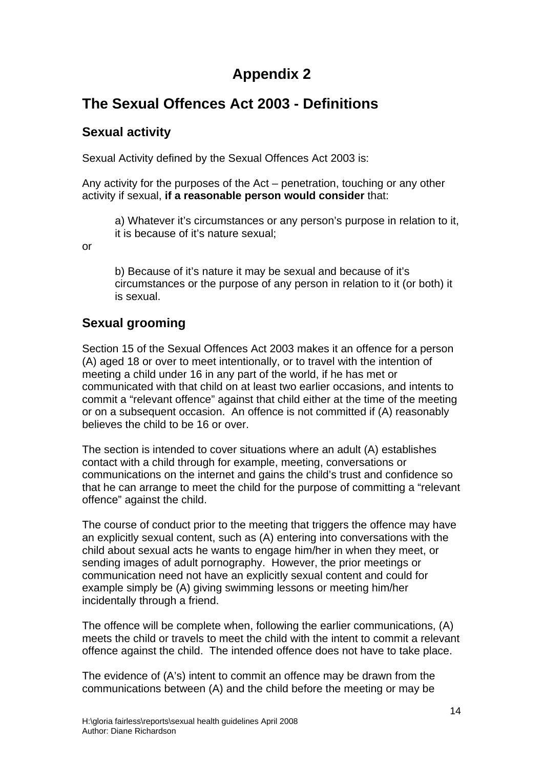### **Appendix 2**

### **The Sexual Offences Act 2003 - Definitions**

#### **Sexual activity**

Sexual Activity defined by the Sexual Offences Act 2003 is:

Any activity for the purposes of the Act – penetration, touching or any other activity if sexual, **if a reasonable person would consider** that:

a) Whatever it's circumstances or any person's purpose in relation to it, it is because of it's nature sexual;

or

b) Because of it's nature it may be sexual and because of it's circumstances or the purpose of any person in relation to it (or both) it is sexual.

### **Sexual grooming**

Section 15 of the Sexual Offences Act 2003 makes it an offence for a person (A) aged 18 or over to meet intentionally, or to travel with the intention of meeting a child under 16 in any part of the world, if he has met or communicated with that child on at least two earlier occasions, and intents to commit a "relevant offence" against that child either at the time of the meeting or on a subsequent occasion. An offence is not committed if (A) reasonably believes the child to be 16 or over.

The section is intended to cover situations where an adult (A) establishes contact with a child through for example, meeting, conversations or communications on the internet and gains the child's trust and confidence so that he can arrange to meet the child for the purpose of committing a "relevant offence" against the child.

The course of conduct prior to the meeting that triggers the offence may have an explicitly sexual content, such as (A) entering into conversations with the child about sexual acts he wants to engage him/her in when they meet, or sending images of adult pornography. However, the prior meetings or communication need not have an explicitly sexual content and could for example simply be (A) giving swimming lessons or meeting him/her incidentally through a friend.

The offence will be complete when, following the earlier communications, (A) meets the child or travels to meet the child with the intent to commit a relevant offence against the child. The intended offence does not have to take place.

The evidence of (A's) intent to commit an offence may be drawn from the communications between (A) and the child before the meeting or may be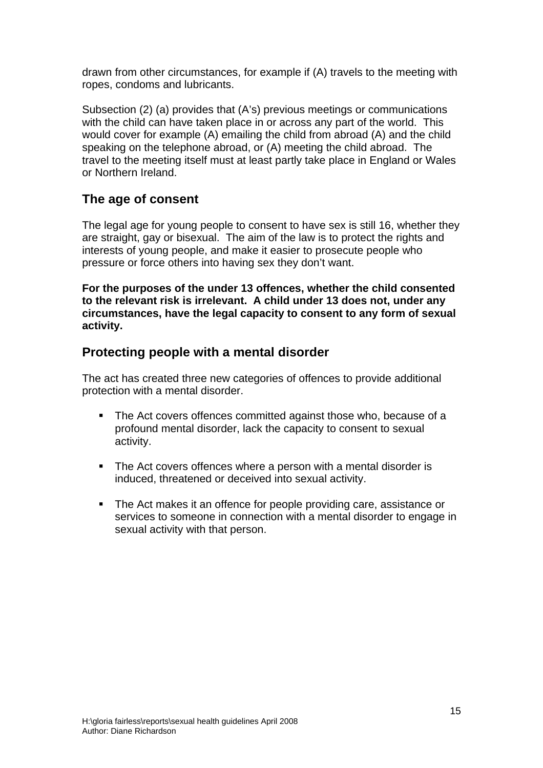drawn from other circumstances, for example if (A) travels to the meeting with ropes, condoms and lubricants.

Subsection (2) (a) provides that (A's) previous meetings or communications with the child can have taken place in or across any part of the world. This would cover for example (A) emailing the child from abroad (A) and the child speaking on the telephone abroad, or (A) meeting the child abroad. The travel to the meeting itself must at least partly take place in England or Wales or Northern Ireland.

### **The age of consent**

The legal age for young people to consent to have sex is still 16, whether they are straight, gay or bisexual. The aim of the law is to protect the rights and interests of young people, and make it easier to prosecute people who pressure or force others into having sex they don't want.

**For the purposes of the under 13 offences, whether the child consented to the relevant risk is irrelevant. A child under 13 does not, under any circumstances, have the legal capacity to consent to any form of sexual activity.** 

#### **Protecting people with a mental disorder**

The act has created three new categories of offences to provide additional protection with a mental disorder.

- The Act covers offences committed against those who, because of a profound mental disorder, lack the capacity to consent to sexual activity.
- The Act covers offences where a person with a mental disorder is induced, threatened or deceived into sexual activity.
- The Act makes it an offence for people providing care, assistance or services to someone in connection with a mental disorder to engage in sexual activity with that person.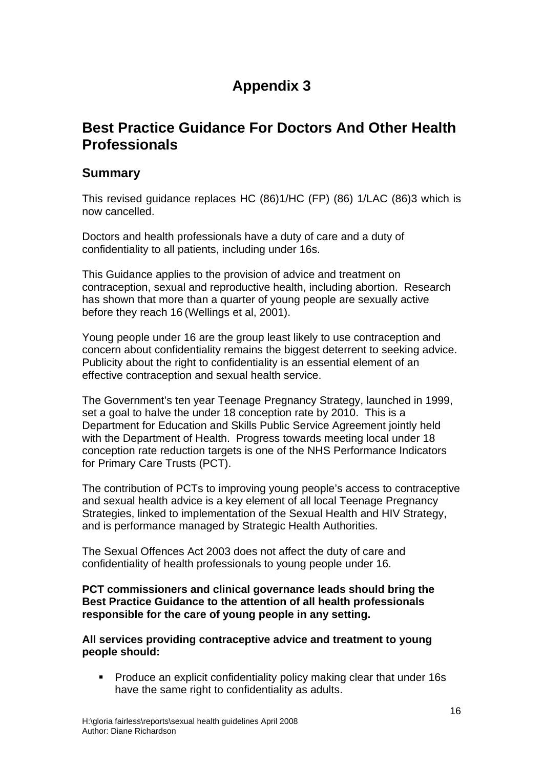## **Appendix 3**

### **Best Practice Guidance For Doctors And Other Health Professionals**

#### **Summary**

This revised guidance replaces HC (86)1/HC (FP) (86) 1/LAC (86)3 which is now cancelled.

Doctors and health professionals have a duty of care and a duty of confidentiality to all patients, including under 16s.

This Guidance applies to the provision of advice and treatment on contraception, sexual and reproductive health, including abortion. Research has shown that more than a quarter of young people are sexually active before they reach 16 (Wellings et al, 2001).

Young people under 16 are the group least likely to use contraception and concern about confidentiality remains the biggest deterrent to seeking advice. Publicity about the right to confidentiality is an essential element of an effective contraception and sexual health service.

The Government's ten year Teenage Pregnancy Strategy, launched in 1999, set a goal to halve the under 18 conception rate by 2010. This is a Department for Education and Skills Public Service Agreement jointly held with the Department of Health. Progress towards meeting local under 18 conception rate reduction targets is one of the NHS Performance Indicators for Primary Care Trusts (PCT).

The contribution of PCTs to improving young people's access to contraceptive and sexual health advice is a key element of all local Teenage Pregnancy Strategies, linked to implementation of the Sexual Health and HIV Strategy, and is performance managed by Strategic Health Authorities.

The Sexual Offences Act 2003 does not affect the duty of care and confidentiality of health professionals to young people under 16.

**PCT commissioners and clinical governance leads should bring the Best Practice Guidance to the attention of all health professionals responsible for the care of young people in any setting.** 

**All services providing contraceptive advice and treatment to young people should:**

**Produce an explicit confidentiality policy making clear that under 16s** have the same right to confidentiality as adults.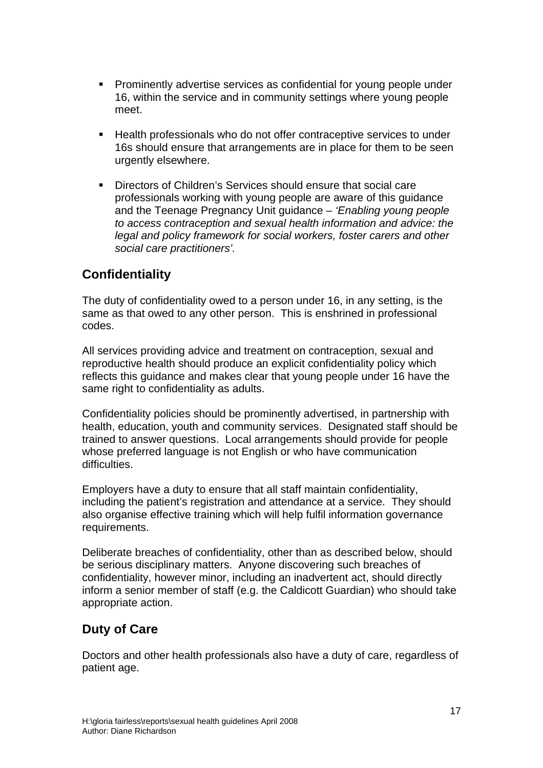- Prominently advertise services as confidential for young people under 16, within the service and in community settings where young people meet.
- Health professionals who do not offer contraceptive services to under 16s should ensure that arrangements are in place for them to be seen urgently elsewhere.
- Directors of Children's Services should ensure that social care professionals working with young people are aware of this guidance and the Teenage Pregnancy Unit guidance – *'Enabling young people to access contraception and sexual health information and advice: the legal and policy framework for social workers, foster carers and other social care practitioners'.*

#### **Confidentiality**

The duty of confidentiality owed to a person under 16, in any setting, is the same as that owed to any other person. This is enshrined in professional codes.

All services providing advice and treatment on contraception, sexual and reproductive health should produce an explicit confidentiality policy which reflects this guidance and makes clear that young people under 16 have the same right to confidentiality as adults.

Confidentiality policies should be prominently advertised, in partnership with health, education, youth and community services. Designated staff should be trained to answer questions. Local arrangements should provide for people whose preferred language is not English or who have communication difficulties.

Employers have a duty to ensure that all staff maintain confidentiality, including the patient's registration and attendance at a service. They should also organise effective training which will help fulfil information governance requirements.

Deliberate breaches of confidentiality, other than as described below, should be serious disciplinary matters. Anyone discovering such breaches of confidentiality, however minor, including an inadvertent act, should directly inform a senior member of staff (e.g. the Caldicott Guardian) who should take appropriate action.

#### **Duty of Care**

Doctors and other health professionals also have a duty of care, regardless of patient age.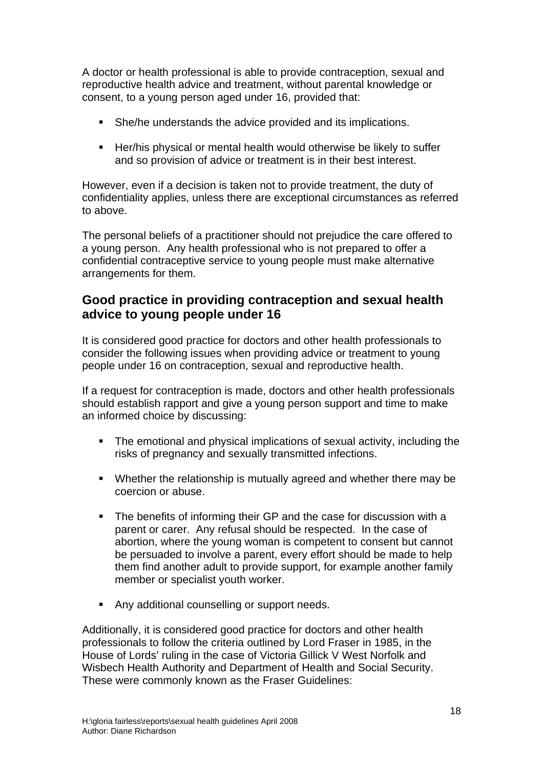A doctor or health professional is able to provide contraception, sexual and reproductive health advice and treatment, without parental knowledge or consent, to a young person aged under 16, provided that:

- She/he understands the advice provided and its implications.
- **Her/his physical or mental health would otherwise be likely to suffer** and so provision of advice or treatment is in their best interest.

However, even if a decision is taken not to provide treatment, the duty of confidentiality applies, unless there are exceptional circumstances as referred to above.

The personal beliefs of a practitioner should not prejudice the care offered to a young person. Any health professional who is not prepared to offer a confidential contraceptive service to young people must make alternative arrangements for them.

#### **Good practice in providing contraception and sexual health advice to young people under 16**

It is considered good practice for doctors and other health professionals to consider the following issues when providing advice or treatment to young people under 16 on contraception, sexual and reproductive health.

If a request for contraception is made, doctors and other health professionals should establish rapport and give a young person support and time to make an informed choice by discussing:

- The emotional and physical implications of sexual activity, including the risks of pregnancy and sexually transmitted infections.
- Whether the relationship is mutually agreed and whether there may be coercion or abuse.
- The benefits of informing their GP and the case for discussion with a parent or carer. Any refusal should be respected. In the case of abortion, where the young woman is competent to consent but cannot be persuaded to involve a parent, every effort should be made to help them find another adult to provide support, for example another family member or specialist youth worker.
- **Any additional counselling or support needs.**

Additionally, it is considered good practice for doctors and other health professionals to follow the criteria outlined by Lord Fraser in 1985, in the House of Lords' ruling in the case of Victoria Gillick V West Norfolk and Wisbech Health Authority and Department of Health and Social Security. These were commonly known as the Fraser Guidelines: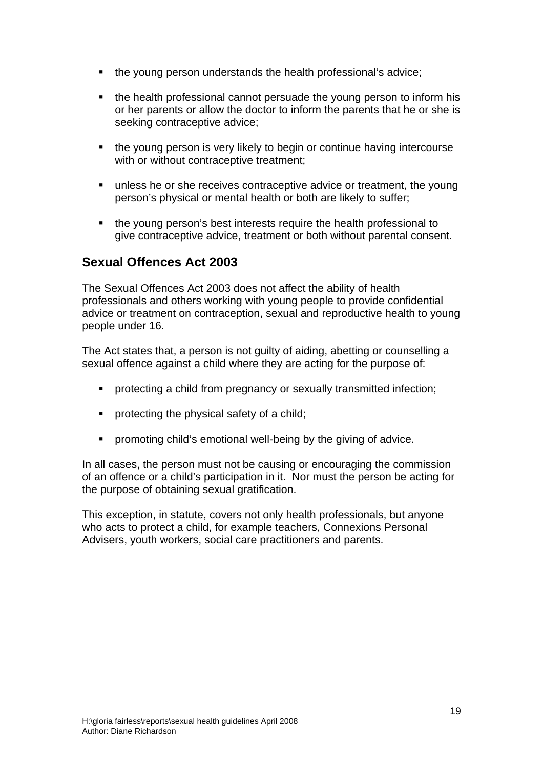- the young person understands the health professional's advice;
- the health professional cannot persuade the young person to inform his or her parents or allow the doctor to inform the parents that he or she is seeking contraceptive advice;
- **the young person is very likely to begin or continue having intercourse** with or without contraceptive treatment;
- unless he or she receives contraceptive advice or treatment, the young person's physical or mental health or both are likely to suffer;
- the young person's best interests require the health professional to give contraceptive advice, treatment or both without parental consent.

#### **Sexual Offences Act 2003**

The Sexual Offences Act 2003 does not affect the ability of health professionals and others working with young people to provide confidential advice or treatment on contraception, sexual and reproductive health to young people under 16.

The Act states that, a person is not guilty of aiding, abetting or counselling a sexual offence against a child where they are acting for the purpose of:

- protecting a child from pregnancy or sexually transmitted infection;
- **•** protecting the physical safety of a child;
- **•** promoting child's emotional well-being by the giving of advice.

In all cases, the person must not be causing or encouraging the commission of an offence or a child's participation in it. Nor must the person be acting for the purpose of obtaining sexual gratification.

This exception, in statute, covers not only health professionals, but anyone who acts to protect a child, for example teachers, Connexions Personal Advisers, youth workers, social care practitioners and parents.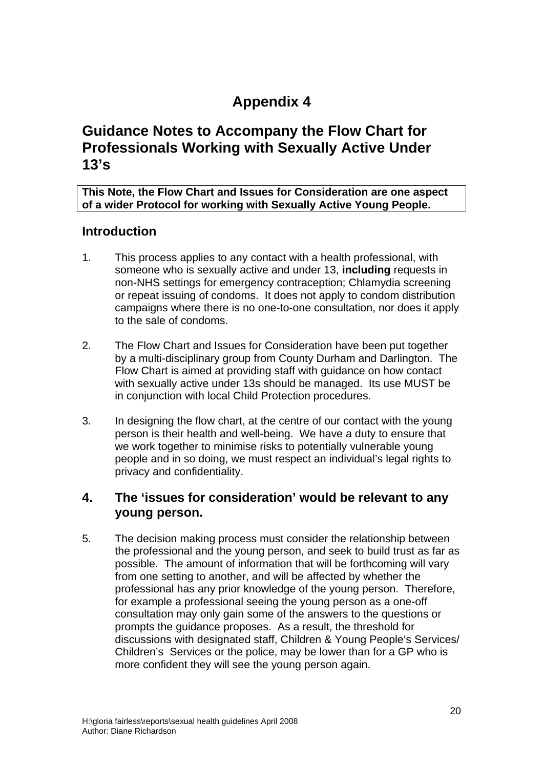## **Appendix 4**

### **Guidance Notes to Accompany the Flow Chart for Professionals Working with Sexually Active Under 13's**

**This Note, the Flow Chart and Issues for Consideration are one aspect of a wider Protocol for working with Sexually Active Young People.** 

#### **Introduction**

- 1. This process applies to any contact with a health professional, with someone who is sexually active and under 13, **including** requests in non-NHS settings for emergency contraception; Chlamydia screening or repeat issuing of condoms. It does not apply to condom distribution campaigns where there is no one-to-one consultation, nor does it apply to the sale of condoms.
- 2. The Flow Chart and Issues for Consideration have been put together by a multi-disciplinary group from County Durham and Darlington. The Flow Chart is aimed at providing staff with guidance on how contact with sexually active under 13s should be managed. Its use MUST be in conjunction with local Child Protection procedures.
- 3. In designing the flow chart, at the centre of our contact with the young person is their health and well-being. We have a duty to ensure that we work together to minimise risks to potentially vulnerable young people and in so doing, we must respect an individual's legal rights to privacy and confidentiality.

#### **4. The 'issues for consideration' would be relevant to any young person.**

5. The decision making process must consider the relationship between the professional and the young person, and seek to build trust as far as possible. The amount of information that will be forthcoming will vary from one setting to another, and will be affected by whether the professional has any prior knowledge of the young person. Therefore, for example a professional seeing the young person as a one-off consultation may only gain some of the answers to the questions or prompts the guidance proposes. As a result, the threshold for discussions with designated staff, Children & Young People's Services/ Children's Services or the police, may be lower than for a GP who is more confident they will see the young person again.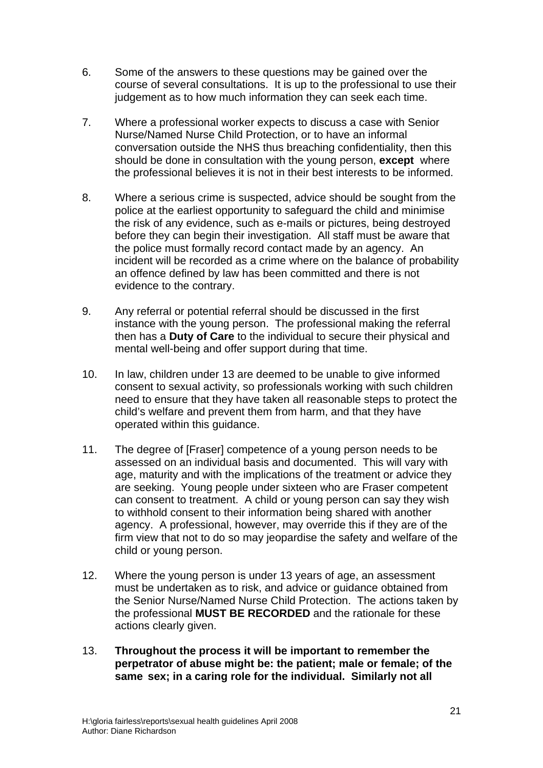- 6. Some of the answers to these questions may be gained over the course of several consultations. It is up to the professional to use their judgement as to how much information they can seek each time.
- 7. Where a professional worker expects to discuss a case with Senior Nurse/Named Nurse Child Protection, or to have an informal conversation outside the NHS thus breaching confidentiality, then this should be done in consultation with the young person, **except** where the professional believes it is not in their best interests to be informed.
- 8. Where a serious crime is suspected, advice should be sought from the police at the earliest opportunity to safeguard the child and minimise the risk of any evidence, such as e-mails or pictures, being destroyed before they can begin their investigation. All staff must be aware that the police must formally record contact made by an agency. An incident will be recorded as a crime where on the balance of probability an offence defined by law has been committed and there is not evidence to the contrary.
- 9. Any referral or potential referral should be discussed in the first instance with the young person. The professional making the referral then has a **Duty of Care** to the individual to secure their physical and mental well-being and offer support during that time.
- 10. In law, children under 13 are deemed to be unable to give informed consent to sexual activity, so professionals working with such children need to ensure that they have taken all reasonable steps to protect the child's welfare and prevent them from harm, and that they have operated within this guidance.
- 11. The degree of [Fraser] competence of a young person needs to be assessed on an individual basis and documented. This will vary with age, maturity and with the implications of the treatment or advice they are seeking. Young people under sixteen who are Fraser competent can consent to treatment. A child or young person can say they wish to withhold consent to their information being shared with another agency. A professional, however, may override this if they are of the firm view that not to do so may jeopardise the safety and welfare of the child or young person.
- 12. Where the young person is under 13 years of age, an assessment must be undertaken as to risk, and advice or guidance obtained from the Senior Nurse/Named Nurse Child Protection. The actions taken by the professional **MUST BE RECORDED** and the rationale for these actions clearly given.
- 13. **Throughout the process it will be important to remember the perpetrator of abuse might be: the patient; male or female; of the same sex; in a caring role for the individual. Similarly not all**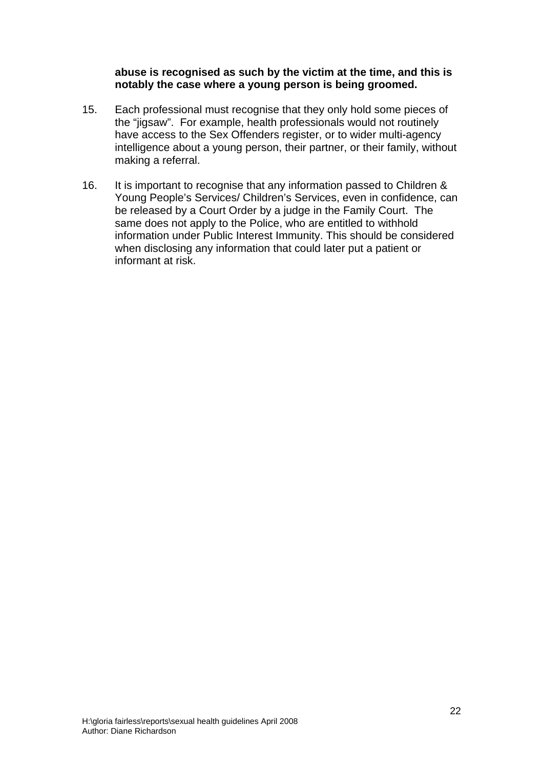#### **abuse is recognised as such by the victim at the time, and this is notably the case where a young person is being groomed.**

- 15. Each professional must recognise that they only hold some pieces of the "jigsaw". For example, health professionals would not routinely have access to the Sex Offenders register, or to wider multi-agency intelligence about a young person, their partner, or their family, without making a referral.
- 16. It is important to recognise that any information passed to Children & Young People's Services/ Children's Services, even in confidence, can be released by a Court Order by a judge in the Family Court. The same does not apply to the Police, who are entitled to withhold information under Public Interest Immunity. This should be considered when disclosing any information that could later put a patient or informant at risk.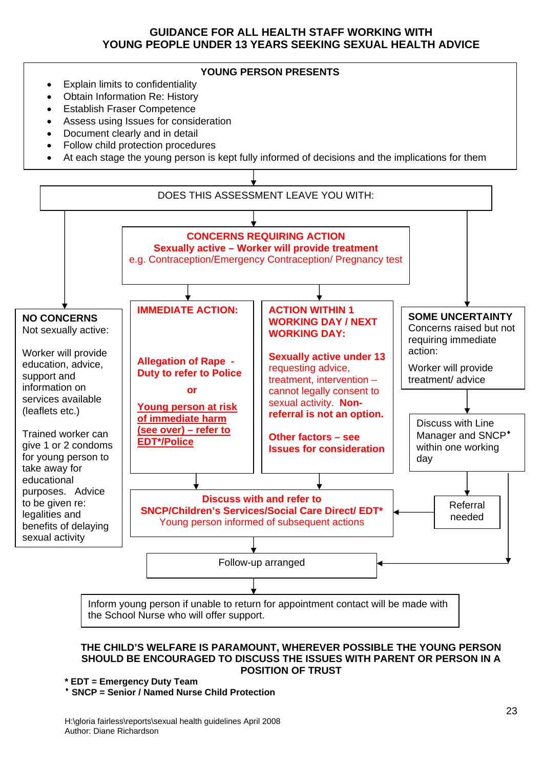#### **GUIDANCE FOR ALL HEALTH STAFF WORKING WITH YOUNG PEOPLE UNDER 13 YEARS SEEKING SEXUAL HEALTH ADVICE**



<sup>\*</sup> SNCP = Senior / Named Nurse Child Protection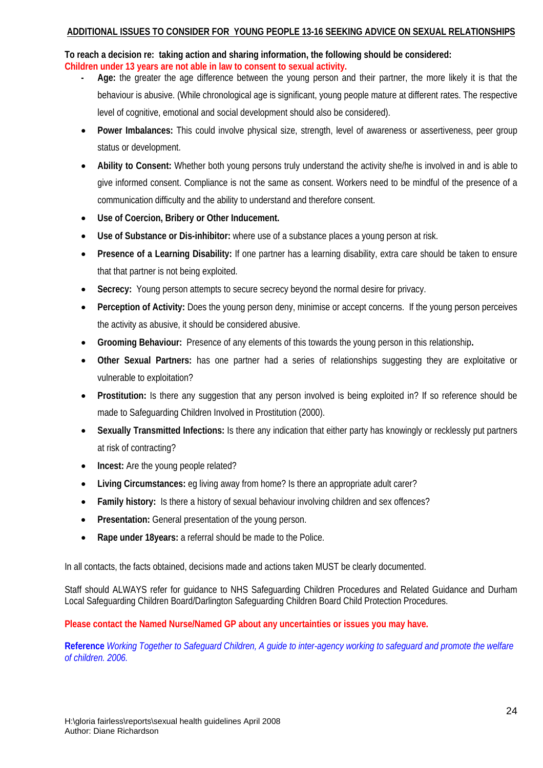#### **ADDITIONAL ISSUES TO CONSIDER FOR YOUNG PEOPLE 13-16 SEEKING ADVICE ON SEXUAL RELATIONSHIPS**

**To reach a decision re: taking action and sharing information, the following should be considered: Children under 13 years are not able in law to consent to sexual activity.** 

- **Age:** the greater the age difference between the young person and their partner, the more likely it is that the behaviour is abusive. (While chronological age is significant, young people mature at different rates. The respective level of cognitive, emotional and social development should also be considered).
- **Power Imbalances:** This could involve physical size, strength, level of awareness or assertiveness, peer group status or development.
- **Ability to Consent:** Whether both young persons truly understand the activity she/he is involved in and is able to give informed consent. Compliance is not the same as consent. Workers need to be mindful of the presence of a communication difficulty and the ability to understand and therefore consent.
- **Use of Coercion, Bribery or Other Inducement.**
- **Use of Substance or Dis-inhibitor:** where use of a substance places a young person at risk.
- **Presence of a Learning Disability:** If one partner has a learning disability, extra care should be taken to ensure that that partner is not being exploited.
- **Secrecy:** Young person attempts to secure secrecy beyond the normal desire for privacy.
- **Perception of Activity:** Does the young person deny, minimise or accept concerns. If the young person perceives the activity as abusive, it should be considered abusive.
- **Grooming Behaviour:** Presence of any elements of this towards the young person in this relationship**.**
- **Other Sexual Partners:** has one partner had a series of relationships suggesting they are exploitative or vulnerable to exploitation?
- **Prostitution:** Is there any suggestion that any person involved is being exploited in? If so reference should be made to Safeguarding Children Involved in Prostitution (2000).
- **Sexually Transmitted Infections:** Is there any indication that either party has knowingly or recklessly put partners at risk of contracting?
- **Incest:** Are the young people related?
- **Living Circumstances:** eg living away from home? Is there an appropriate adult carer?
- **Family history:** Is there a history of sexual behaviour involving children and sex offences?
- **Presentation:** General presentation of the young person.
- **Rape under 18years:** a referral should be made to the Police.

In all contacts, the facts obtained, decisions made and actions taken MUST be clearly documented.

Staff should ALWAYS refer for guidance to NHS Safeguarding Children Procedures and Related Guidance and Durham Local Safeguarding Children Board/Darlington Safeguarding Children Board Child Protection Procedures.

**Please contact the Named Nurse/Named GP about any uncertainties or issues you may have.** 

**Reference** *Working Together to Safeguard Children, A guide to inter-agency working to safeguard and promote the welfare of children. 2006.*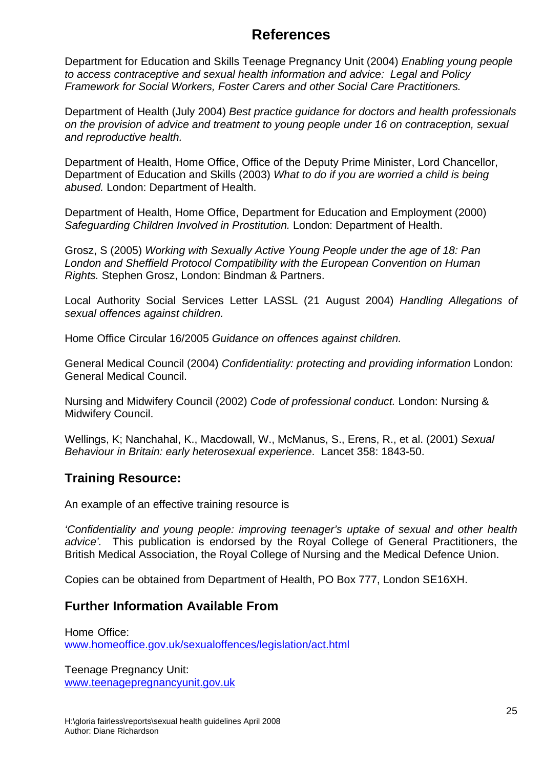### **References**

Department for Education and Skills Teenage Pregnancy Unit (2004) *Enabling young people to access contraceptive and sexual health information and advice: Legal and Policy Framework for Social Workers, Foster Carers and other Social Care Practitioners.* 

Department of Health (July 2004) *Best practice guidance for doctors and health professionals on the provision of advice and treatment to young people under 16 on contraception, sexual and reproductive health.* 

Department of Health, Home Office, Office of the Deputy Prime Minister, Lord Chancellor, Department of Education and Skills (2003) *What to do if you are worried a child is being abused.* London: Department of Health.

Department of Health, Home Office, Department for Education and Employment (2000) *Safeguarding Children Involved in Prostitution.* London: Department of Health.

Grosz, S (2005) *Working with Sexually Active Young People under the age of 18: Pan London and Sheffield Protocol Compatibility with the European Convention on Human Rights.* Stephen Grosz, London: Bindman & Partners.

Local Authority Social Services Letter LASSL (21 August 2004) *Handling Allegations of sexual offences against children.* 

Home Office Circular 16/2005 *Guidance on offences against children.* 

General Medical Council (2004) *Confidentiality: protecting and providing information* London: General Medical Council.

Nursing and Midwifery Council (2002) *Code of professional conduct.* London: Nursing & Midwifery Council.

Wellings, K; Nanchahal, K., Macdowall, W., McManus, S., Erens, R., et al. (2001) *Sexual Behaviour in Britain: early heterosexual experience*. Lancet 358: 1843-50.

#### **Training Resource:**

An example of an effective training resource is

*'Confidentiality and young people: improving teenager's uptake of sexual and other health advice'.* This publication is endorsed by the Royal College of General Practitioners, the British Medical Association, the Royal College of Nursing and the Medical Defence Union.

Copies can be obtained from Department of Health, PO Box 777, London SE16XH.

#### **Further Information Available From**

Home Office: [www.homeoffice.gov.uk/sexualoffences/legislation/act.html](http://www.homeoffice.gov.uk/sexualoffences/legislation/act.html)

Teenage Pregnancy Unit: [www.teenagepregnancyunit.gov.uk](http://www.teenagepregnancyunit.gov.uk/)